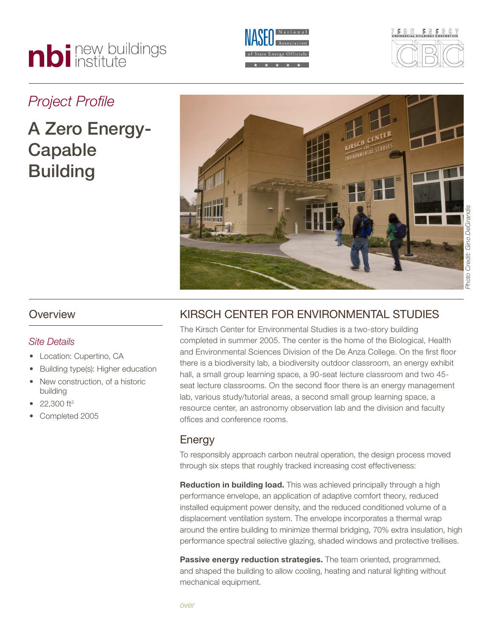# nbi new buildings





### *Project Profile*

## A Zero Energy-Capable **Building**



#### **Overview**

#### *Site Details*

- Location: Cupertino, CA
- Building type(s): Higher education
- New construction, of a historic building
- $22,300$  ft<sup>2</sup>
- Completed 2005

#### Kirsch Center for Environmental Studies

The Kirsch Center for Environmental Studies is a two-story building completed in summer 2005. The center is the home of the Biological, Health and Environmental Sciences Division of the De Anza College. On the first floor there is a biodiversity lab, a biodiversity outdoor classroom, an energy exhibit hall, a small group learning space, a 90-seat lecture classroom and two 45 seat lecture classrooms. On the second floor there is an energy management lab, various study/tutorial areas, a second small group learning space, a resource center, an astronomy observation lab and the division and faculty offices and conference rooms.

#### **Energy**

To responsibly approach carbon neutral operation, the design process moved through six steps that roughly tracked increasing cost effectiveness:

**Reduction in building load.** This was achieved principally through a high performance envelope, an application of adaptive comfort theory, reduced installed equipment power density, and the reduced conditioned volume of a displacement ventilation system. The envelope incorporates a thermal wrap around the entire building to minimize thermal bridging, 70% extra insulation, high performance spectral selective glazing, shaded windows and protective trellises.

**Passive energy reduction strategies.** The team oriented, programmed, and shaped the building to allow cooling, heating and natural lighting without mechanical equipment.